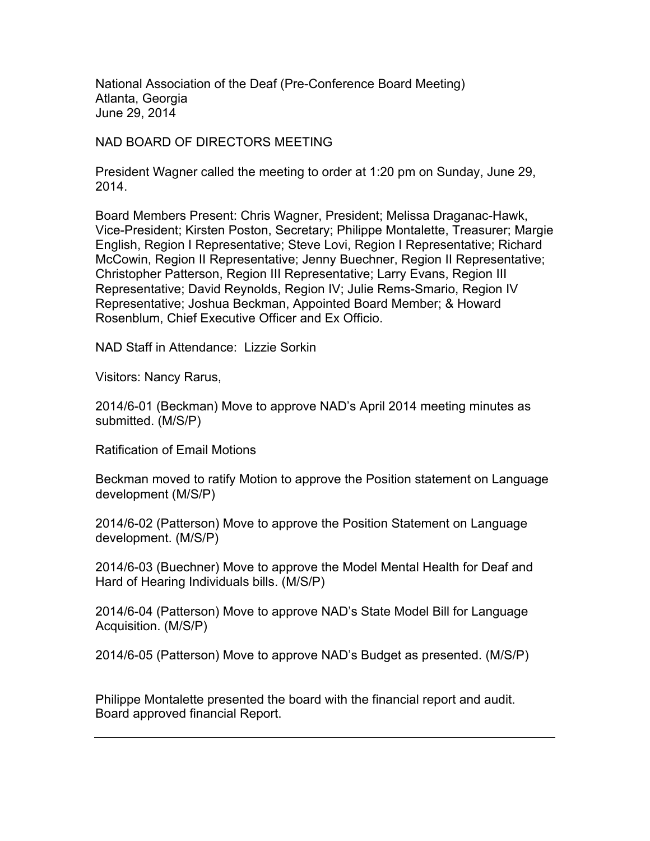National Association of the Deaf (Pre-Conference Board Meeting) Atlanta, Georgia June 29, 2014

NAD BOARD OF DIRECTORS MEETING

President Wagner called the meeting to order at 1:20 pm on Sunday, June 29, 2014.

Board Members Present: Chris Wagner, President; Melissa Draganac-Hawk, Vice-President; Kirsten Poston, Secretary; Philippe Montalette, Treasurer; Margie English, Region I Representative; Steve Lovi, Region I Representative; Richard McCowin, Region II Representative; Jenny Buechner, Region II Representative; Christopher Patterson, Region III Representative; Larry Evans, Region III Representative; David Reynolds, Region IV; Julie Rems-Smario, Region IV Representative; Joshua Beckman, Appointed Board Member; & Howard Rosenblum, Chief Executive Officer and Ex Officio.

NAD Staff in Attendance: Lizzie Sorkin

Visitors: Nancy Rarus,

2014/6-01 (Beckman) Move to approve NAD's April 2014 meeting minutes as submitted. (M/S/P)

Ratification of Email Motions

Beckman moved to ratify Motion to approve the Position statement on Language development (M/S/P)

2014/6-02 (Patterson) Move to approve the Position Statement on Language development. (M/S/P)

2014/6-03 (Buechner) Move to approve the Model Mental Health for Deaf and Hard of Hearing Individuals bills. (M/S/P)

2014/6-04 (Patterson) Move to approve NAD's State Model Bill for Language Acquisition. (M/S/P)

2014/6-05 (Patterson) Move to approve NAD's Budget as presented. (M/S/P)

Philippe Montalette presented the board with the financial report and audit. Board approved financial Report.